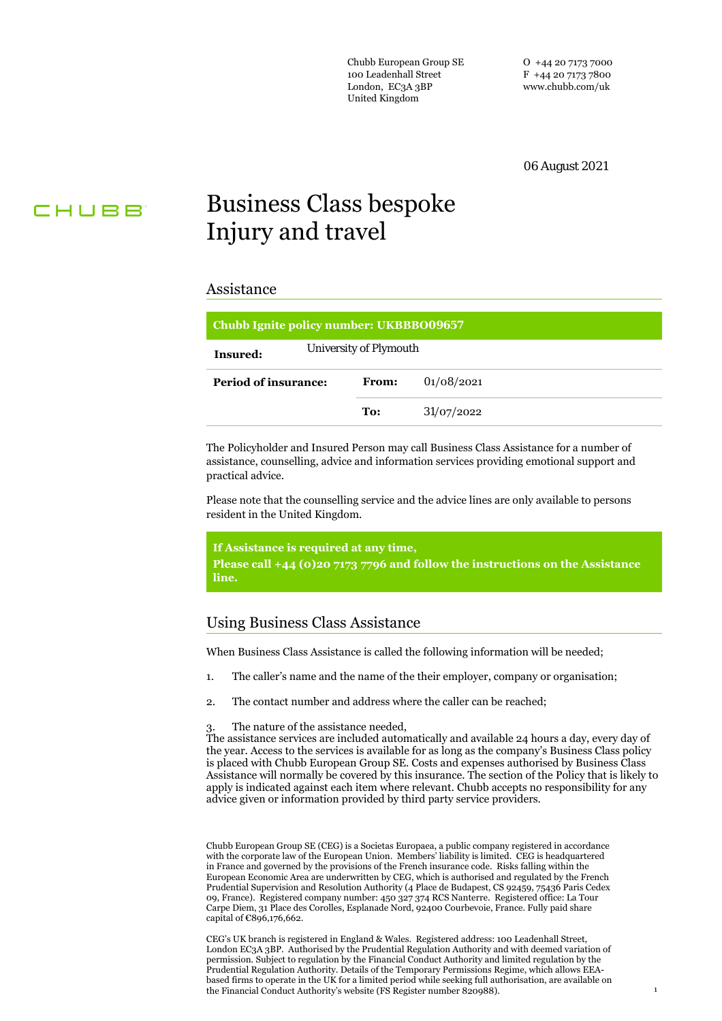Chubb European Group SE 100 Leadenhall Street London, EC3A 3BP United Kingdom

O +44 20 7173 7000 F +44 20 7173 7800 www.chubb.com/uk

06 August 2021

# CHUBB

# Business Class bespoke Injury and travel

#### Assistance

| Chubb Ignite policy number: UKBBB009657 |              |            |
|-----------------------------------------|--------------|------------|
| University of Plymouth<br>Insured:      |              |            |
| Period of insurance:                    | <b>From:</b> | 01/08/2021 |
|                                         | To:          | 31/07/2022 |
|                                         |              |            |

The Policyholder and Insured Person may call Business Class Assistance for a number of assistance, counselling, advice and information services providing emotional support and practical advice.

Please note that the counselling service and the advice lines are only available to persons resident in the United Kingdom.

**If Assistance is required at any time,**

**Please call +44 (0)20 7173 7796 and follow the instructions on the Assistance line.**

# Using Business Class Assistance

When Business Class Assistance is called the following information will be needed;

- 1. The caller's name and the name of the their employer, company or organisation;
- 2. The contact number and address where the caller can be reached;

The nature of the assistance needed,

The assistance services are included automatically and available 24 hours a day, every day of the year. Access to the services is available for as long as the company's Business Class policy is placed with Chubb European Group SE. Costs and expenses authorised by Business Class Assistance will normally be covered by this insurance. The section of the Policy that is likely to apply is indicated against each item where relevant. Chubb accepts no responsibility for any advice given or information provided by third party service providers.

Chubb European Group SE (CEG) is a Societas Europaea, a public company registered in accordance with the corporate law of the European Union. Members' liability is limited. CEG is headquartered in France and governed by the provisions of the French insurance code. Risks falling within the European Economic Area are underwritten by CEG, which is authorised and regulated by the French Prudential Supervision and Resolution Authority (4 Place de Budapest, CS 92459, 75436 Paris Cedex 09, France). Registered company number: 450 327 374 RCS Nanterre. Registered office: La Tour Carpe Diem, 31 Place des Corolles, Esplanade Nord, 92400 Courbevoie, France. Fully paid share capital of €896,176,662.

CEG's UK branch is registered in England & Wales. Registered address: 100 Leadenhall Street, London EC3A 3BP. Authorised by the Prudential Regulation Authority and with deemed variation of permission. Subject to regulation by the Financial Conduct Authority and limited regulation by the Prudential Regulation Authority. Details of the Temporary Permissions Regime, which allows EEAbased firms to operate in the UK for a limited period while seeking full authorisation, are available on the Financial Conduct Authority's website (FS Register number 820988).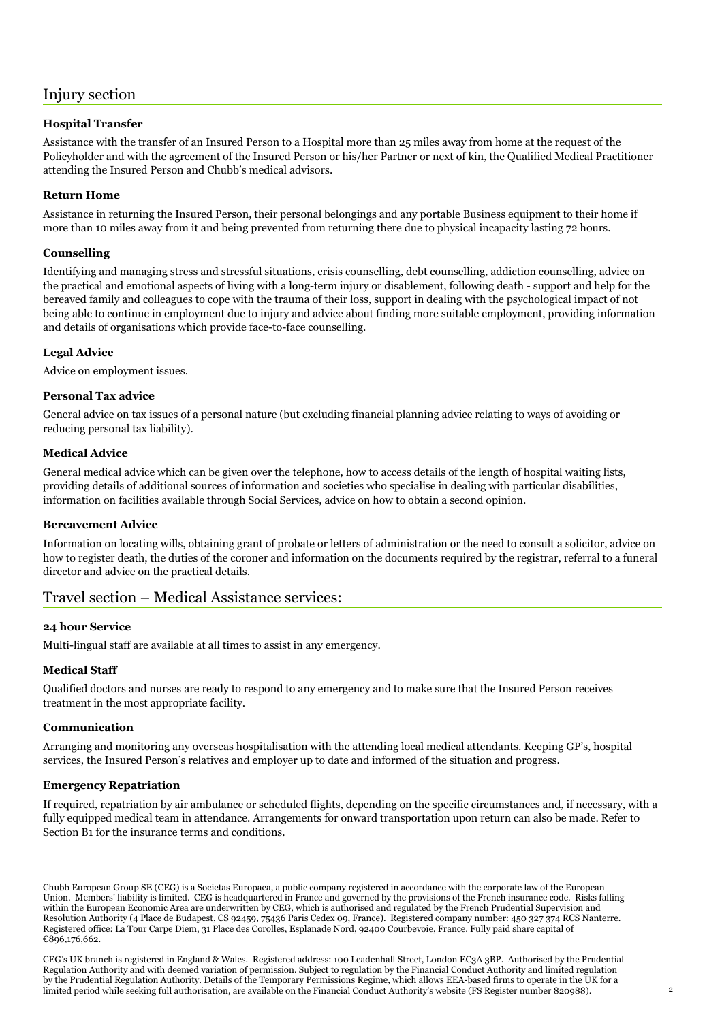# Injury section

## **Hospital Transfer**

Assistance with the transfer of an Insured Person to a Hospital more than 25 miles away from home at the request of the Policyholder and with the agreement of the Insured Person or his/her Partner or next of kin, the Qualified Medical Practitioner attending the Insured Person and Chubb's medical advisors.

## **Return Home**

Assistance in returning the Insured Person, their personal belongings and any portable Business equipment to their home if more than 10 miles away from it and being prevented from returning there due to physical incapacity lasting 72 hours.

#### **Counselling**

Identifying and managing stress and stressful situations, crisis counselling, debt counselling, addiction counselling, advice on the practical and emotional aspects of living with a long-term injury or disablement, following death - support and help for the bereaved family and colleagues to cope with the trauma of their loss, support in dealing with the psychological impact of not being able to continue in employment due to injury and advice about finding more suitable employment, providing information and details of organisations which provide face-to-face counselling.

#### **Legal Advice**

Advice on employment issues.

#### **Personal Tax advice**

General advice on tax issues of a personal nature (but excluding financial planning advice relating to ways of avoiding or reducing personal tax liability).

#### **Medical Advice**

General medical advice which can be given over the telephone, how to access details of the length of hospital waiting lists, providing details of additional sources of information and societies who specialise in dealing with particular disabilities, information on facilities available through Social Services, advice on how to obtain a second opinion.

#### **Bereavement Advice**

Information on locating wills, obtaining grant of probate or letters of administration or the need to consult a solicitor, advice on how to register death, the duties of the coroner and information on the documents required by the registrar, referral to a funeral director and advice on the practical details.

# Travel section – Medical Assistance services:

#### **24 hour Service**

Multi-lingual staff are available at all times to assist in any emergency.

#### **Medical Staff**

Qualified doctors and nurses are ready to respond to any emergency and to make sure that the Insured Person receives treatment in the most appropriate facility.

#### **Communication**

Arranging and monitoring any overseas hospitalisation with the attending local medical attendants. Keeping GP's, hospital services, the Insured Person's relatives and employer up to date and informed of the situation and progress.

#### **Emergency Repatriation**

If required, repatriation by air ambulance or scheduled flights, depending on the specific circumstances and, if necessary, with a fully equipped medical team in attendance. Arrangements for onward transportation upon return can also be made. Refer to Section B1 for the insurance terms and conditions.

Chubb European Group SE (CEG) is a Societas Europaea, a public company registered in accordance with the corporate law of the European Union. Members' liability is limited. CEG is headquartered in France and governed by the provisions of the French insurance code. Risks falling within the European Economic Area are underwritten by CEG, which is authorised and regulated by the French Prudential Supervision and Resolution Authority (4 Place de Budapest, CS 92459, 75436 Paris Cedex 09, France). Registered company number: 450 327 374 RCS Nanterre. Registered office: La Tour Carpe Diem, 31 Place des Corolles, Esplanade Nord, 92400 Courbevoie, France. Fully paid share capital of €896,176,662.

CEG's UK branch is registered in England & Wales. Registered address: 100 Leadenhall Street, London EC3A 3BP. Authorised by the Prudential Regulation Authority and with deemed variation of permission. Subject to regulation by the Financial Conduct Authority and limited regulation by the Prudential Regulation Authority. Details of the Temporary Permissions Regime, which allows EEA-based firms to operate in the UK for a limited period while seeking full authorisation, are available on the Financial Conduct Authority's website (FS Register number 820988). 2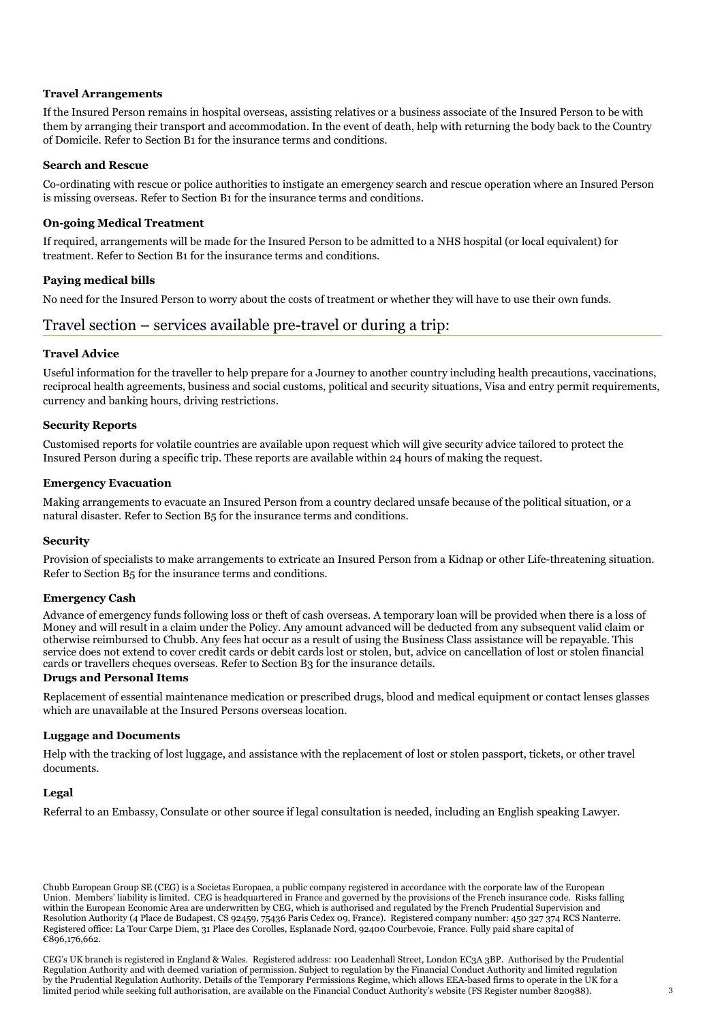#### **Travel Arrangements**

If the Insured Person remains in hospital overseas, assisting relatives or a business associate of the Insured Person to be with them by arranging their transport and accommodation. In the event of death, help with returning the body back to the Country of Domicile. Refer to Section B1 for the insurance terms and conditions.

#### **Search and Rescue**

Co-ordinating with rescue or police authorities to instigate an emergency search and rescue operation where an Insured Person is missing overseas. Refer to Section B1 for the insurance terms and conditions.

#### **On-going Medical Treatment**

If required, arrangements will be made for the Insured Person to be admitted to a NHS hospital (or local equivalent) for treatment. Refer to Section B1 for the insurance terms and conditions.

#### **Paying medical bills**

No need for the Insured Person to worry about the costs of treatment or whether they will have to use their own funds.

# Travel section – services available pre-travel or during a trip:

#### **Travel Advice**

Useful information for the traveller to help prepare for a Journey to another country including health precautions, vaccinations, reciprocal health agreements, business and social customs, political and security situations, Visa and entry permit requirements, currency and banking hours, driving restrictions.

#### **Security Reports**

Customised reports for volatile countries are available upon request which will give security advice tailored to protect the Insured Person during a specific trip. These reports are available within 24 hours of making the request.

#### **Emergency Evacuation**

Making arrangements to evacuate an Insured Person from a country declared unsafe because of the political situation, or a natural disaster. Refer to Section B5 for the insurance terms and conditions.

#### **Security**

Provision of specialists to make arrangements to extricate an Insured Person from a Kidnap or other Life-threatening situation. Refer to Section B5 for the insurance terms and conditions.

#### **Emergency Cash**

Advance of emergency funds following loss or theft of cash overseas. A temporary loan will be provided when there is a loss of Money and will result in a claim under the Policy. Any amount advanced will be deducted from any subsequent valid claim or otherwise reimbursed to Chubb. Any fees hat occur as a result of using the Business Class assistance will be repayable. This service does not extend to cover credit cards or debit cards lost or stolen, but, advice on cancellation of lost or stolen financial cards or travellers cheques overseas. Refer to Section B3 for the insurance details.

#### **Drugs and Personal Items**

Replacement of essential maintenance medication or prescribed drugs, blood and medical equipment or contact lenses glasses which are unavailable at the Insured Persons overseas location.

#### **Luggage and Documents**

Help with the tracking of lost luggage, and assistance with the replacement of lost or stolen passport, tickets, or other travel documents.

#### **Legal**

Referral to an Embassy, Consulate or other source if legal consultation is needed, including an English speaking Lawyer.

Chubb European Group SE (CEG) is a Societas Europaea, a public company registered in accordance with the corporate law of the European Union. Members' liability is limited. CEG is headquartered in France and governed by the provisions of the French insurance code. Risks falling within the European Economic Area are underwritten by CEG, which is authorised and regulated by the French Prudential Supervision and Resolution Authority (4 Place de Budapest, CS 92459, 75436 Paris Cedex 09, France). Registered company number: 450 327 374 RCS Nanterre. Registered office: La Tour Carpe Diem, 31 Place des Corolles, Esplanade Nord, 92400 Courbevoie, France. Fully paid share capital of €896,176,662.

CEG's UK branch is registered in England & Wales. Registered address: 100 Leadenhall Street, London EC3A 3BP. Authorised by the Prudential Regulation Authority and with deemed variation of permission. Subject to regulation by the Financial Conduct Authority and limited regulation by the Prudential Regulation Authority. Details of the Temporary Permissions Regime, which allows EEA-based firms to operate in the UK for a limited period while seeking full authorisation, are available on the Financial Conduct Authority's website (FS Register number 820988). 3